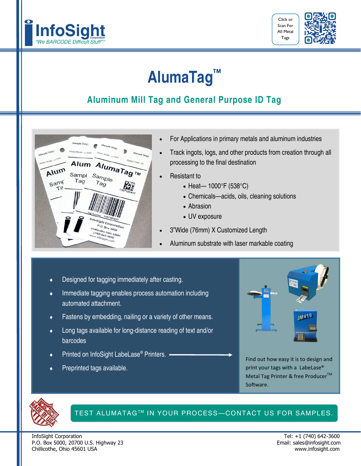



## **AlumaTag™**

### **Aluminum Mill Tag and General Purpose ID Tag**



- For Applications in primary metals and aluminum industries
- Track ingots, logs, and other products from creation through all processing to the final destination
- Resistant to
	- Heat— 1000°F (538°C)
	- Chemicals—acids, oils, cleaning solutions
	- Abrasion
	- UV exposure
- 3"Wide (76mm) X Customized Length
- Aluminum substrate with laser markable coating
- Designed for tagging immediately after casting.
- Immediate tagging enables process automation including automated attachment.
- Fastens by embedding, nailing or a variety of other means.
- Long tags available for long-distance reading of text and/or barcodes
- Printed on InfoSight LabeLase® Printers.
- Preprinted tags available.



Find out how easy it is to design and print your tags with a LabeLase® Metal Tag Printer & free Producer<sup>™</sup> Software.



#### TEST ALUMATAGTM IN YOUR PROCESS—CONTACT US FOR SAMPLES.